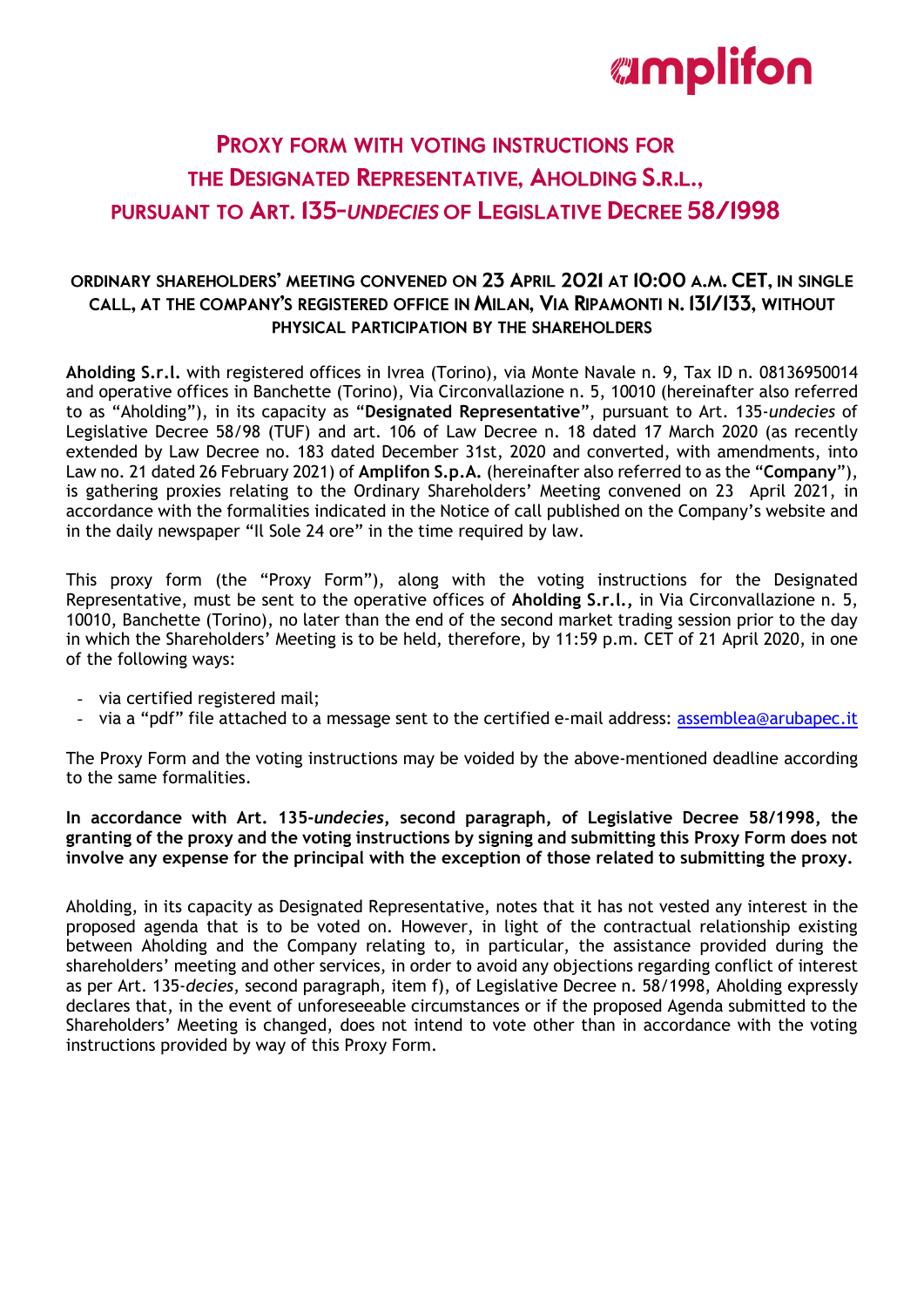## **PROXY FORM WITH VOTING INSTRUCTIONS FOR** THE DESIGNATED REPRESENTATIVE. AHOLDING S.R.L.. **PURSUANT TO ART. 135-UNDECIES OF LEGISLATIVE DECREE 58/1998**

## ORDINARY SHAREHOLDERS' MEETING CONVENED ON 23 APRIL 2021 AT 10:00 A.M. CET. IN SINGLE CALL, AT THE COMPANY'S REGISTERED OFFICE IN MILAN, VIA RIPAMONTI N. 131/133, WITHOUT PHYSICAL PARTICIPATION BY THE SHAREHOLDERS

**Aholding S.r.l.** with registered offices in Ivrea (Torino), via Monte Navale n. 9, Tax ID n. 08136950014 and operative offices in Banchette (Torino), Via Circonvallazione n. 5, 10010 (hereinafter also referred to as "Aholding"), in its capacity as "**Designated Representative**", pursuant to Art. 135-*undecies* of Legislative Decree 58/98 (TUF) and art. 106 of Law Decree n. 18 dated 17 March 2020 (as recently extended by Law Decree no. 183 dated December 31st, 2020 and converted, with amendments, into Law no. 21 dated 26 February 2021) of **Amplifon S.p.A.** (hereinafter also referred to as the "**Company**"), is gathering proxies relating to the Ordinary Shareholders' Meeting convened on 23 April 2021, in accordance with the formalities indicated in the Notice of call published on the Company's website and in the daily newspaper "Il Sole 24 ore" in the time required by law.

This proxy form (the "Proxy Form"), along with the voting instructions for the Designated Representative, must be sent to the operative offices of **Aholding S.r.l.,** in Via Circonvallazione n. 5, 10010, Banchette (Torino), no later than the end of the second market trading session prior to the day in which the Shareholders' Meeting is to be held, therefore, by 11:59 p.m. CET of 21 April 2020, in one of the following ways:

- via certified registered mail;
- via a "pdf" file attached to a message sent to the certified e-mail address: [assemblea@arubapec.it](mailto:assemblea@arubapec.it)

The Proxy Form and the voting instructions may be voided by the above-mentioned deadline according to the same formalities.

**In accordance with Art. 135-***undecies***, second paragraph, of Legislative Decree 58/1998, the granting of the proxy and the voting instructions by signing and submitting this Proxy Form does not involve any expense for the principal with the exception of those related to submitting the proxy.**

Aholding, in its capacity as Designated Representative, notes that it has not vested any interest in the proposed agenda that is to be voted on. However, in light of the contractual relationship existing between Aholding and the Company relating to, in particular, the assistance provided during the shareholders' meeting and other services, in order to avoid any objections regarding conflict of interest as per Art. 135-*decies*, second paragraph, item f), of Legislative Decree n. 58/1998, Aholding expressly declares that, in the event of unforeseeable circumstances or if the proposed Agenda submitted to the Shareholders' Meeting is changed, does not intend to vote other than in accordance with the voting instructions provided by way of this Proxy Form.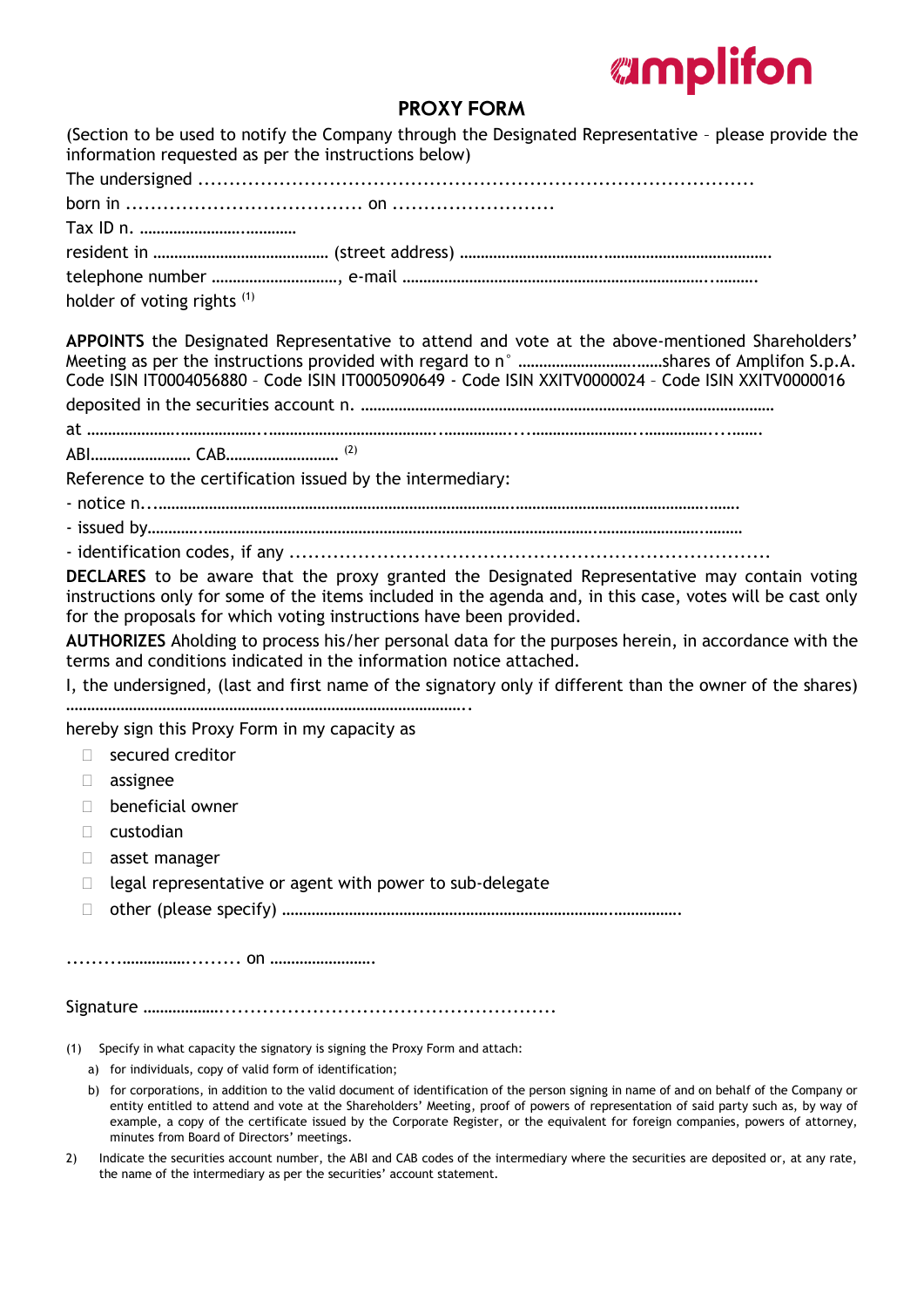## **PROXY FORM**

| (Section to be used to notify the Company through the Designated Representative - please provide the<br>information requested as per the instructions below)                                                                                                                                                                                                                                                                                                   |
|----------------------------------------------------------------------------------------------------------------------------------------------------------------------------------------------------------------------------------------------------------------------------------------------------------------------------------------------------------------------------------------------------------------------------------------------------------------|
|                                                                                                                                                                                                                                                                                                                                                                                                                                                                |
|                                                                                                                                                                                                                                                                                                                                                                                                                                                                |
|                                                                                                                                                                                                                                                                                                                                                                                                                                                                |
|                                                                                                                                                                                                                                                                                                                                                                                                                                                                |
|                                                                                                                                                                                                                                                                                                                                                                                                                                                                |
| holder of voting rights (1)                                                                                                                                                                                                                                                                                                                                                                                                                                    |
| APPOINTS the Designated Representative to attend and vote at the above-mentioned Shareholders'<br>Code ISIN IT0004056880 - Code ISIN IT0005090649 - Code ISIN XXITV0000024 - Code ISIN XXITV0000016                                                                                                                                                                                                                                                            |
|                                                                                                                                                                                                                                                                                                                                                                                                                                                                |
|                                                                                                                                                                                                                                                                                                                                                                                                                                                                |
|                                                                                                                                                                                                                                                                                                                                                                                                                                                                |
| Reference to the certification issued by the intermediary:                                                                                                                                                                                                                                                                                                                                                                                                     |
|                                                                                                                                                                                                                                                                                                                                                                                                                                                                |
|                                                                                                                                                                                                                                                                                                                                                                                                                                                                |
|                                                                                                                                                                                                                                                                                                                                                                                                                                                                |
| DECLARES to be aware that the proxy granted the Designated Representative may contain voting<br>instructions only for some of the items included in the agenda and, in this case, votes will be cast only<br>for the proposals for which voting instructions have been provided.<br>AUTHORIZES Aholding to process his/her personal data for the purposes herein, in accordance with the<br>terms and conditions indicated in the information notice attached. |
| I, the undersigned, (last and first name of the signatory only if different than the owner of the shares)                                                                                                                                                                                                                                                                                                                                                      |
|                                                                                                                                                                                                                                                                                                                                                                                                                                                                |
| hereby sign this Proxy Form in my capacity as                                                                                                                                                                                                                                                                                                                                                                                                                  |
| secured creditor<br>П                                                                                                                                                                                                                                                                                                                                                                                                                                          |
| assignee<br>$\Box$                                                                                                                                                                                                                                                                                                                                                                                                                                             |
| beneficial owner<br>$\Box$                                                                                                                                                                                                                                                                                                                                                                                                                                     |
| custodian                                                                                                                                                                                                                                                                                                                                                                                                                                                      |
| asset manager<br>Ш                                                                                                                                                                                                                                                                                                                                                                                                                                             |
| legal representative or agent with power to sub-delegate<br>П                                                                                                                                                                                                                                                                                                                                                                                                  |
| $\Box$                                                                                                                                                                                                                                                                                                                                                                                                                                                         |
|                                                                                                                                                                                                                                                                                                                                                                                                                                                                |
|                                                                                                                                                                                                                                                                                                                                                                                                                                                                |
|                                                                                                                                                                                                                                                                                                                                                                                                                                                                |
| Specify in what capacity the signatory is signing the Proxy Form and attach:<br>(1)                                                                                                                                                                                                                                                                                                                                                                            |
| a) for individuals, copy of valid form of identification;<br>for corporations, in addition to tho valid document of identification of the person signing in name of and on behalf of the Company or                                                                                                                                                                                                                                                            |

- b) for corporations, in addition to the valid document of identification of the person signing in name of and on behalf of the Company or entity entitled to attend and vote at the Shareholders' Meeting, proof of powers of representation of said party such as, by way of example, a copy of the certificate issued by the Corporate Register, or the equivalent for foreign companies, powers of attorney, minutes from Board of Directors' meetings.
- 2) Indicate the securities account number, the ABI and CAB codes of the intermediary where the securities are deposited or, at any rate, the name of the intermediary as per the securities' account statement.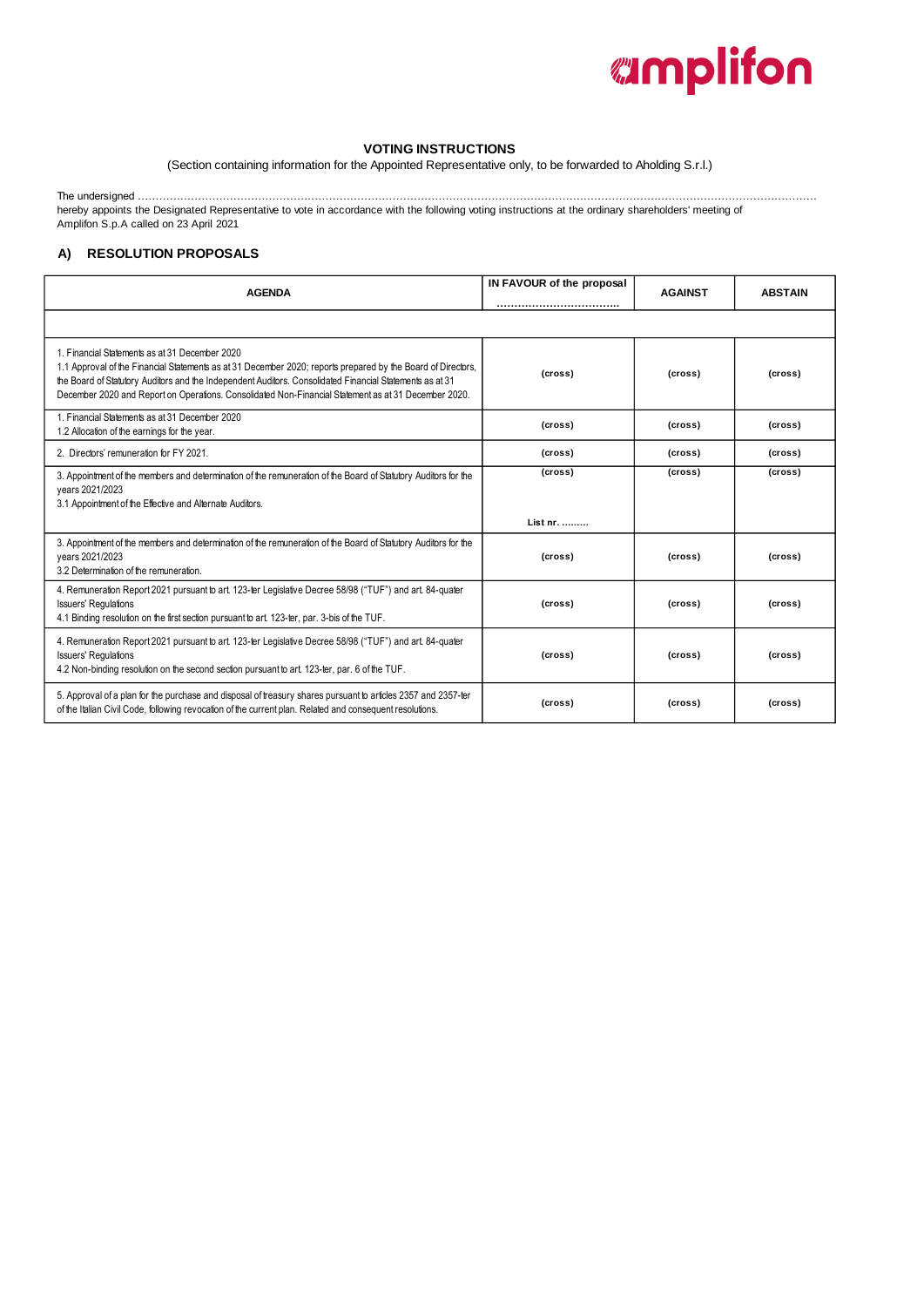

#### **VOTING INSTRUCTIONS**

(Section containing information for the Appointed Representative only, to be forwarded to Aholding S.r.l.)

The undersigned …………………………………………………………………………………………………………………………………………………………………………

hereby appoints the Designated Representative to vote in accordance with the following voting instructions at the ordinary shareholders' meeting of Amplifon S.p.A called on 23 April 2021

### **A) RESOLUTION PROPOSALS**

| <b>AGENDA</b>                                                                                                                                                                                                                                                                                                                                                                      | IN FAVOUR of the proposal<br> | <b>AGAINST</b> | <b>ABSTAIN</b> |
|------------------------------------------------------------------------------------------------------------------------------------------------------------------------------------------------------------------------------------------------------------------------------------------------------------------------------------------------------------------------------------|-------------------------------|----------------|----------------|
|                                                                                                                                                                                                                                                                                                                                                                                    |                               |                |                |
| 1. Financial Statements as at 31 December 2020<br>1.1 Approval of the Financial Statements as at 31 December 2020; reports prepared by the Board of Directors,<br>the Board of Statutory Auditors and the Independent Auditors. Consolidated Financial Statements as at 31<br>December 2020 and Report on Operations. Consolidated Non-Financial Statement as at 31 December 2020. | (cross)                       | (cross)        | (cross)        |
| 1. Financial Statements as at 31 December 2020<br>1.2 Allocation of the earnings for the year.                                                                                                                                                                                                                                                                                     | (cross)                       | (cross)        | (cross)        |
| 2. Directors' remuneration for FY 2021.                                                                                                                                                                                                                                                                                                                                            | (cross)                       | (cross)        | (cross)        |
| 3. Appointment of the members and determination of the remuneration of the Board of Statutory Auditors for the<br>vears 2021/2023<br>3.1 Appointment of the Effective and Alternate Auditors.                                                                                                                                                                                      | (cross)                       | (cross)        | (cross)        |
|                                                                                                                                                                                                                                                                                                                                                                                    | List nr.                      |                |                |
| 3. Appointment of the members and determination of the remuneration of the Board of Statutory Auditors for the<br>vears 2021/2023<br>3.2 Determination of the remuneration.                                                                                                                                                                                                        | (cross)                       | (cross)        | (cross)        |
| 4. Remuneration Report 2021 pursuant to art. 123-ter Legislative Decree 58/98 ("TUF") and art. 84-quater<br><b>Issuers' Requlations</b><br>4.1 Binding resolution on the first section pursuant to art. 123-ter, par. 3-bis of the TUF.                                                                                                                                            | (cross)                       | (cross)        | (cross)        |
| 4. Remuneration Report 2021 pursuant to art. 123-ter Legislative Decree 58/98 ("TUF") and art. 84-quater<br><b>Issuers' Regulations</b><br>4.2 Non-binding resolution on the second section pursuant to art. 123-ter, par. 6 of the TUF.                                                                                                                                           | (cross)                       | (cross)        | (cross)        |
| 5. Approval of a plan for the purchase and disposal of treasury shares pursuant to articles 2357 and 2357-ter<br>of the Italian Civil Code, following revocation of the current plan. Related and consequent resolutions.                                                                                                                                                          | (cross)                       | (cross)        | (cross)        |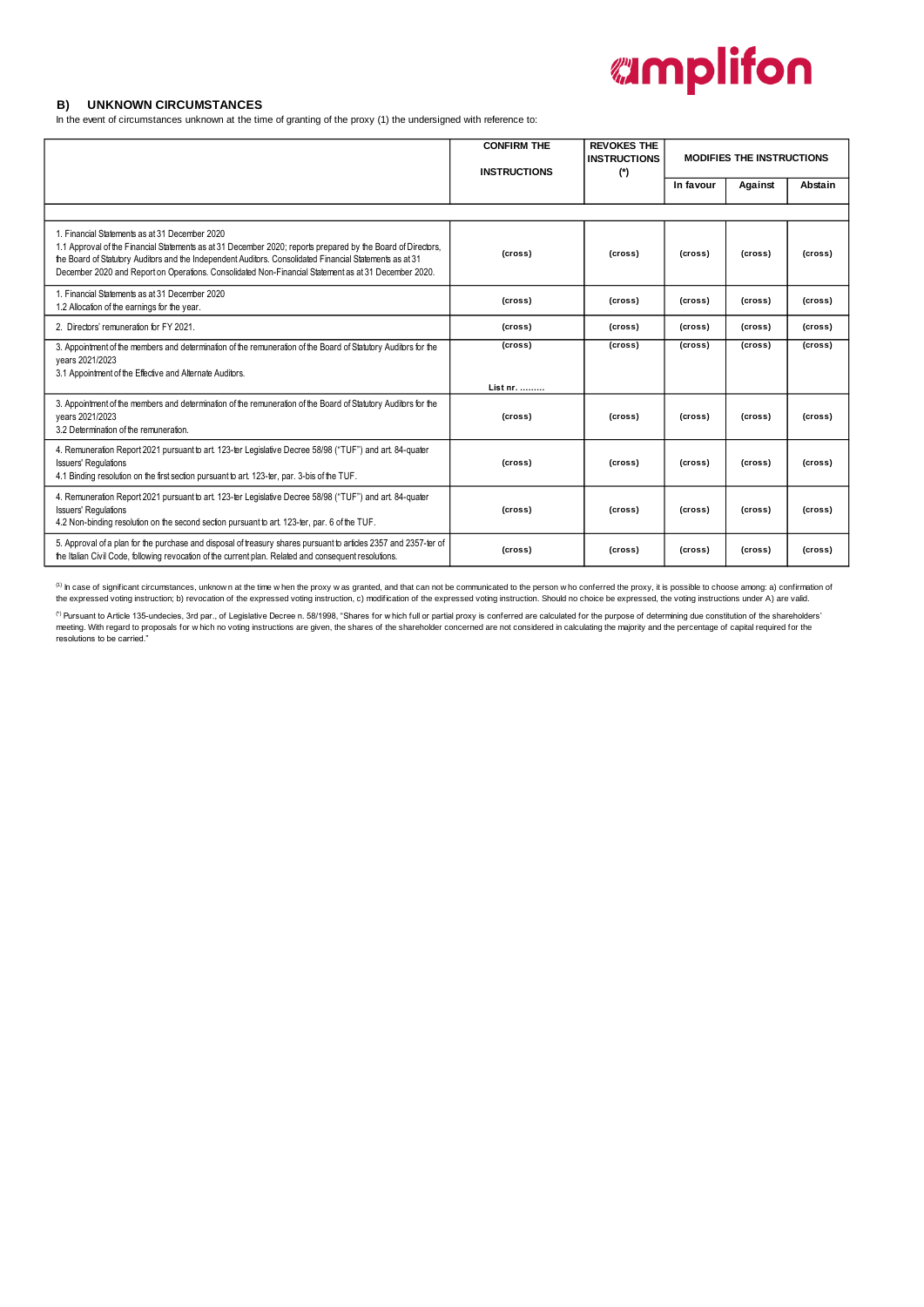#### **B ) UNKNOWN CIRCUMSTANCES**

In the event of circumstances unknown at the time of granting of the proxy (1) the undersigned with reference to:

|                                                                                                                                                                                                                                                                                                                                                                                    | <b>CONFIRM THE</b><br><b>INSTRUCTIONS</b> | <b>REVOKES THE</b><br><b>MODIFIES THE INSTRUCTIONS</b><br><b>INSTRUCTIONS</b><br>$(*)$ |           |         |         |  |  |  |
|------------------------------------------------------------------------------------------------------------------------------------------------------------------------------------------------------------------------------------------------------------------------------------------------------------------------------------------------------------------------------------|-------------------------------------------|----------------------------------------------------------------------------------------|-----------|---------|---------|--|--|--|
|                                                                                                                                                                                                                                                                                                                                                                                    |                                           |                                                                                        | In favour | Against | Abstain |  |  |  |
|                                                                                                                                                                                                                                                                                                                                                                                    |                                           |                                                                                        |           |         |         |  |  |  |
| 1. Financial Statements as at 31 December 2020<br>1.1 Approval of the Financial Statements as at 31 December 2020; reports prepared by the Board of Directors,<br>the Board of Statutory Auditors and the Independent Auditors. Consolidated Financial Statements as at 31<br>December 2020 and Report on Operations. Consolidated Non-Financial Statement as at 31 December 2020. | (cross)                                   | (cross)                                                                                | (cross)   | (cross) | (cross) |  |  |  |
| 1. Financial Statements as at 31 December 2020<br>1.2 Allocation of the earnings for the year.                                                                                                                                                                                                                                                                                     | (cross)                                   | (cross)                                                                                | (cross)   | (cross) | (cross) |  |  |  |
| 2. Directors' remuneration for FY 2021.                                                                                                                                                                                                                                                                                                                                            | (cross)                                   | (cross)                                                                                | (cross)   | (cross) | (cross) |  |  |  |
| 3. Appointment of the members and determination of the remuneration of the Board of Statutory Auditors for the<br>vears 2021/2023<br>3.1 Appointment of the Effective and Alternate Auditors.                                                                                                                                                                                      | (cross)                                   | (cross)                                                                                | (cross)   | (cross) | (cross) |  |  |  |
|                                                                                                                                                                                                                                                                                                                                                                                    | List nr.                                  |                                                                                        |           |         |         |  |  |  |
| 3. Appointment of the members and determination of the remuneration of the Board of Statutory Auditors for the<br>vears 2021/2023<br>3.2 Determination of the remuneration.                                                                                                                                                                                                        | (cross)                                   | (cross)                                                                                | (cross)   | (cross) | (cross) |  |  |  |
| 4. Remuneration Report 2021 pursuant to art. 123-ter Legislative Decree 58/98 ("TUF") and art. 84-quater<br><b>Issuers' Requlations</b><br>4.1 Binding resolution on the first section pursuant to art. 123-ter, par. 3-bis of the TUF.                                                                                                                                            | (cross)                                   | (cross)                                                                                | (cross)   | (cross) | (cross) |  |  |  |
| 4. Remuneration Report 2021 pursuant to art. 123-ter Legislative Decree 58/98 ("TUF") and art. 84-quater<br><b>Issuers' Requlations</b><br>4.2 Non-binding resolution on the second section pursuant to art. 123-ter, par. 6 of the TUF.                                                                                                                                           | (cross)                                   | (cross)                                                                                | (cross)   | (cross) | (cross) |  |  |  |
| 5. Approval of a plan for the purchase and disposal of treasury shares pursuant to articles 2357 and 2357-ter of<br>the Italian Civil Code, following revocation of the current plan. Related and consequent resolutions.                                                                                                                                                          | (cross)                                   | (cross)                                                                                | (cross)   | (cross) | (cross) |  |  |  |

<sup>(1)</sup> In case of significant circumstances, unknow n at the time w hen the proxy w as granted, and that can not be communicated to the person w ho conferred the proxy, it is possible to choose among: a) confirmation of the expressed voting instruction; b) revocation of the expressed voting instruction, c) modification of the expressed voting instruction. Should no choice be expressed, the voting instructions under A) are valid.

<sup>(\*)</sup> Pursuant to Article 135-undecies, 3rd par., of Legislative Decree n. 58/1998, "Shares for which full or partial proxy is conferred are calculated for the purpose of determining due constitution of the shareholders'<br>m resolutions to be carried."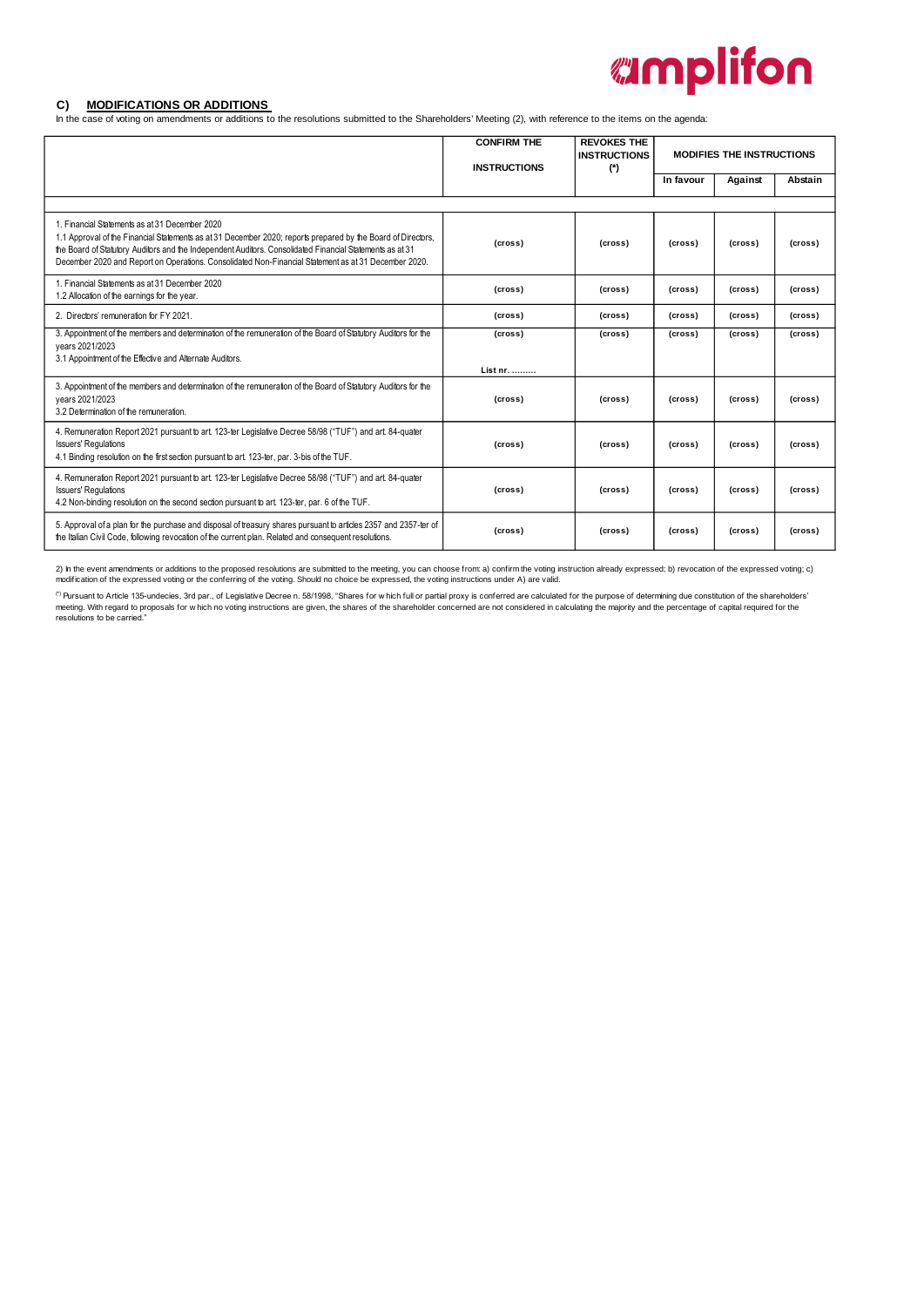#### **C ) MODIFICATIONS OR ADDITIONS**

In the case of voting on amendments or additions to the resolutions submitted to the Shareholders' Meeting (2), with reference to the items on the agenda:

|                                                                                                                                                                                                                                                                                                                                                                                    | <b>CONFIRM THE</b><br><b>INSTRUCTIONS</b> | <b>REVOKES THE</b><br><b>INSTRUCTIONS</b><br>$(*)$ |           | <b>MODIFIES THE INSTRUCTIONS</b> |         |
|------------------------------------------------------------------------------------------------------------------------------------------------------------------------------------------------------------------------------------------------------------------------------------------------------------------------------------------------------------------------------------|-------------------------------------------|----------------------------------------------------|-----------|----------------------------------|---------|
|                                                                                                                                                                                                                                                                                                                                                                                    |                                           |                                                    | In favour | Against                          | Abstain |
|                                                                                                                                                                                                                                                                                                                                                                                    |                                           |                                                    |           |                                  |         |
| 1. Financial Statements as at 31 December 2020<br>1.1 Approval of the Financial Statements as at 31 December 2020; reports prepared by the Board of Directors,<br>the Board of Statutory Auditors and the Independent Auditors. Consolidated Financial Statements as at 31<br>December 2020 and Report on Operations. Consolidated Non-Financial Statement as at 31 December 2020. | (cross)                                   | (cross)                                            | (cross)   | (cross)                          | (cross) |
| 1. Financial Statements as at 31 December 2020<br>1.2 Allocation of the earnings for the year.                                                                                                                                                                                                                                                                                     | (cross)                                   | (cross)                                            | (cross)   | (cross)                          | (cross) |
| 2. Directors' remuneration for FY 2021.                                                                                                                                                                                                                                                                                                                                            | (cross)                                   | (cross)                                            | (cross)   | (cross)                          | (cross) |
| 3. Appointment of the members and determination of the remuneration of the Board of Statutory Auditors for the<br>vears 2021/2023<br>3.1 Appointment of the Effective and Alternate Auditors.                                                                                                                                                                                      | (cross)                                   | (cross)                                            | (cross)   | (cross)                          | (cross) |
|                                                                                                                                                                                                                                                                                                                                                                                    | List nr.                                  |                                                    |           |                                  |         |
| 3. Appointment of the members and determination of the remuneration of the Board of Statutory Auditors for the<br>vears 2021/2023<br>3.2 Determination of the remuneration.                                                                                                                                                                                                        | (cross)                                   | (cross)                                            | (cross)   | (cross)                          | (cross) |
| 4. Remuneration Report 2021 pursuant to art. 123-ter Legislative Decree 58/98 ("TUF") and art. 84-quater<br><b>Issuers' Requlations</b><br>4.1 Binding resolution on the first section pursuant to art. 123-ter, par. 3-bis of the TUF.                                                                                                                                            | (cross)                                   | (cross)                                            | (cross)   | (cross)                          | (cross) |
| 4. Remuneration Report 2021 pursuant to art. 123-ter Legislative Decree 58/98 ("TUF") and art. 84-quater<br><b>Issuers' Requlations</b><br>4.2 Non-binding resolution on the second section pursuant to art. 123-ter, par. 6 of the TUF.                                                                                                                                           | (cross)                                   | (cross)                                            | (cross)   | (cross)                          | (cross) |
| 5. Approval of a plan for the purchase and disposal of treasury shares pursuant to articles 2357 and 2357-ter of<br>the Italian Civil Code, following revocation of the current plan. Related and consequent resolutions.                                                                                                                                                          | (cross)                                   | (cross)                                            | (cross)   | (cross)                          | (cross) |

2) In the event amendments or additions to the proposed resolutions are submitted to the meeting, you can choose from: a) confirm the voting instruction already expressed; b) revocation of the expressed voting; c)<br>modifica

<sup>(\*)</sup> Pursuant to Article 135-undecies, 3rd par., of Legislative Decree n. 58/1998, "Shares for which full or partial proxy is conferred are calculated for the purpose of determining due constitution of the shareholders'<br>m resolutions to be carried."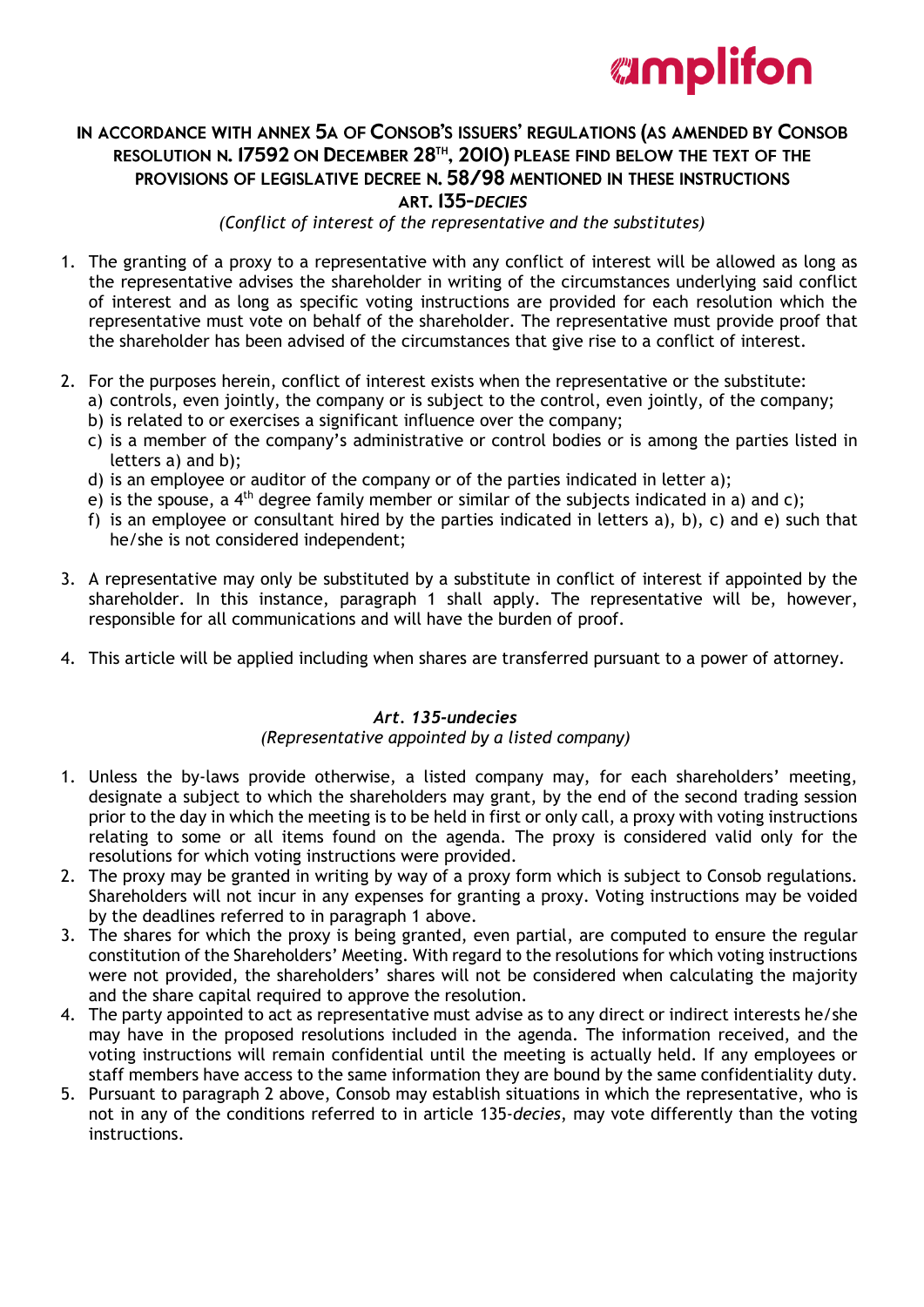

## IN ACCORDANCE WITH ANNEX 5A OF CONSOB'S ISSUERS' REGULATIONS (AS AMENDED BY CONSOB RESOLUTION N. 17592 ON DECEMBER 28<sup>TH</sup>, 2010) PLEASE FIND BELOW THE TEXT OF THE PROVISIONS OF LEGISLATIVE DECREE N. 58/98 MENTIONED IN THESE INSTRUCTIONS ART. 135-DECIES

*(Conflict of interest of the representative and the substitutes)*

- 1. The granting of a proxy to a representative with any conflict of interest will be allowed as long as the representative advises the shareholder in writing of the circumstances underlying said conflict of interest and as long as specific voting instructions are provided for each resolution which the representative must vote on behalf of the shareholder. The representative must provide proof that the shareholder has been advised of the circumstances that give rise to a conflict of interest.
- 2. For the purposes herein, conflict of interest exists when the representative or the substitute:
	- a) controls, even jointly, the company or is subject to the control, even jointly, of the company; b) is related to or exercises a significant influence over the company;
	- c) is a member of the company's administrative or control bodies or is among the parties listed in letters a) and b);
	- d) is an employee or auditor of the company or of the parties indicated in letter a);
	- e) is the spouse, a  $4<sup>th</sup>$  degree family member or similar of the subjects indicated in a) and c);
	- f) is an employee or consultant hired by the parties indicated in letters a), b), c) and e) such that he/she is not considered independent;
- 3. A representative may only be substituted by a substitute in conflict of interest if appointed by the shareholder. In this instance, paragraph 1 shall apply. The representative will be, however, responsible for all communications and will have the burden of proof.
- 4. This article will be applied including when shares are transferred pursuant to a power of attorney.

## *Art. 135-undecies*

## *(Representative appointed by a listed company)*

- 1. Unless the by-laws provide otherwise, a listed company may, for each shareholders' meeting, designate a subject to which the shareholders may grant, by the end of the second trading session prior to the day in which the meeting is to be held in first or only call, a proxy with voting instructions relating to some or all items found on the agenda. The proxy is considered valid only for the resolutions for which voting instructions were provided.
- 2. The proxy may be granted in writing by way of a proxy form which is subject to Consob regulations. Shareholders will not incur in any expenses for granting a proxy. Voting instructions may be voided by the deadlines referred to in paragraph 1 above.
- 3. The shares for which the proxy is being granted, even partial, are computed to ensure the regular constitution of the Shareholders' Meeting. With regard to the resolutions for which voting instructions were not provided, the shareholders' shares will not be considered when calculating the majority and the share capital required to approve the resolution.
- 4. The party appointed to act as representative must advise as to any direct or indirect interests he/she may have in the proposed resolutions included in the agenda. The information received, and the voting instructions will remain confidential until the meeting is actually held. If any employees or staff members have access to the same information they are bound by the same confidentiality duty.
- 5. Pursuant to paragraph 2 above, Consob may establish situations in which the representative, who is not in any of the conditions referred to in article 135-*decies*, may vote differently than the voting instructions.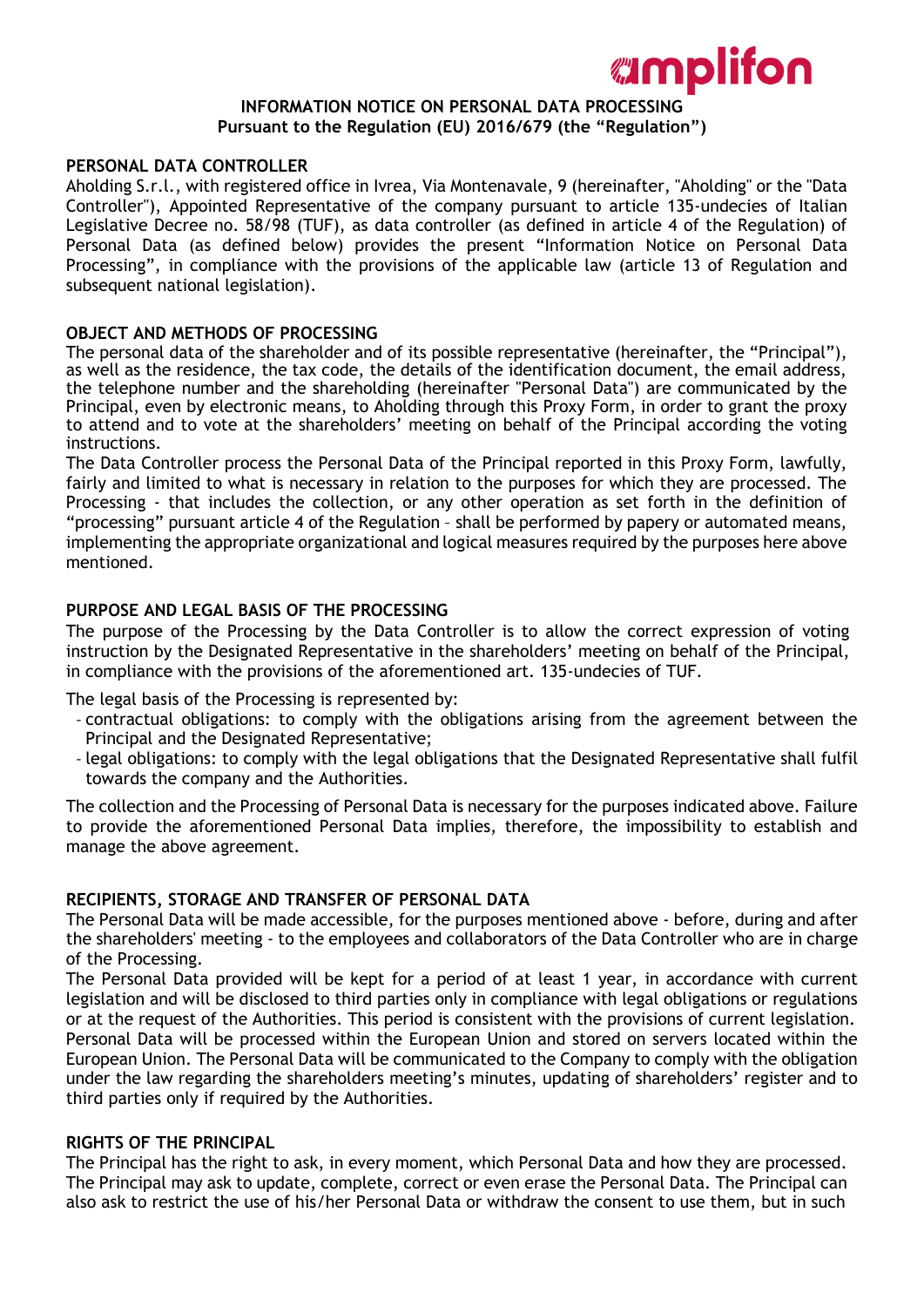## **INFORMATION NOTICE ON PERSONAL DATA PROCESSING Pursuant to the Regulation (EU) 2016/679 (the "Regulation")**

*amplifon* 

### **PERSONAL DATA CONTROLLER**

Aholding S.r.l., with registered office in Ivrea, Via Montenavale, 9 (hereinafter, "Aholding" or the "Data Controller"), Appointed Representative of the company pursuant to article 135-undecies of Italian Legislative Decree no. 58/98 (TUF), as data controller (as defined in article 4 of the Regulation) of Personal Data (as defined below) provides the present "Information Notice on Personal Data Processing", in compliance with the provisions of the applicable law (article 13 of Regulation and subsequent national legislation).

### **OBJECT AND METHODS OF PROCESSING**

The personal data of the shareholder and of its possible representative (hereinafter, the "Principal"), as well as the residence, the tax code, the details of the identification document, the email address, the telephone number and the shareholding (hereinafter "Personal Data") are communicated by the Principal, even by electronic means, to Aholding through this Proxy Form, in order to grant the proxy to attend and to vote at the shareholders' meeting on behalf of the Principal according the voting instructions.

The Data Controller process the Personal Data of the Principal reported in this Proxy Form, lawfully, fairly and limited to what is necessary in relation to the purposes for which they are processed. The Processing - that includes the collection, or any other operation as set forth in the definition of "processing" pursuant article 4 of the Regulation – shall be performed by papery or automated means, implementing the appropriate organizational and logical measures required by the purposes here above mentioned.

## **PURPOSE AND LEGAL BASIS OF THE PROCESSING**

The purpose of the Processing by the Data Controller is to allow the correct expression of voting instruction by the Designated Representative in the shareholders' meeting on behalf of the Principal, in compliance with the provisions of the aforementioned art. 135-undecies of TUF.

The legal basis of the Processing is represented by:

- contractual obligations: to comply with the obligations arising from the agreement between the Principal and the Designated Representative;
- legal obligations: to comply with the legal obligations that the Designated Representative shall fulfil towards the company and the Authorities.

The collection and the Processing of Personal Data is necessary for the purposes indicated above. Failure to provide the aforementioned Personal Data implies, therefore, the impossibility to establish and manage the above agreement.

## **RECIPIENTS, STORAGE AND TRANSFER OF PERSONAL DATA**

The Personal Data will be made accessible, for the purposes mentioned above - before, during and after the shareholders' meeting - to the employees and collaborators of the Data Controller who are in charge of the Processing.

The Personal Data provided will be kept for a period of at least 1 year, in accordance with current legislation and will be disclosed to third parties only in compliance with legal obligations or regulations or at the request of the Authorities. This period is consistent with the provisions of current legislation. Personal Data will be processed within the European Union and stored on servers located within the European Union. The Personal Data will be communicated to the Company to comply with the obligation under the law regarding the shareholders meeting's minutes, updating of shareholders' register and to third parties only if required by the Authorities.

### **RIGHTS OF THE PRINCIPAL**

The Principal has the right to ask, in every moment, which Personal Data and how they are processed. The Principal may ask to update, complete, correct or even erase the Personal Data. The Principal can also ask to restrict the use of his/her Personal Data or withdraw the consent to use them, but in such